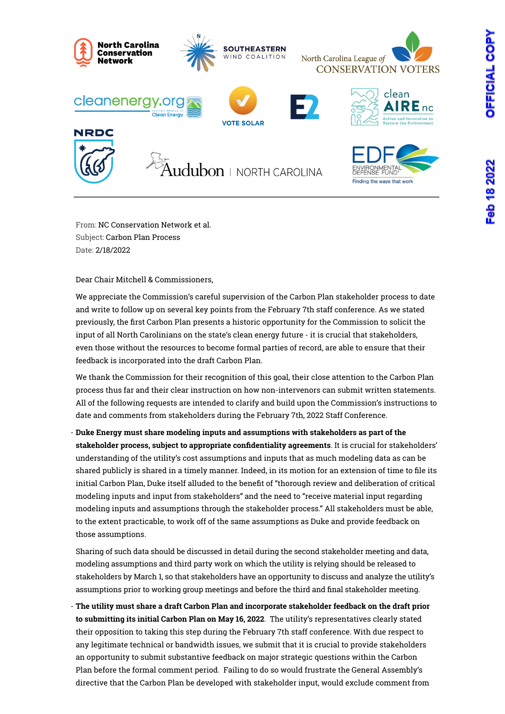

From: NC Conservation Network et al. Subject: Carbon Plan Process Date: 2/18/2022

Dear Chair Mitchell & Commissioners,

We appreciate the Commission's careful supervision of the Carbon Plan stakeholder process to date and write to follow up on several key points from the February 7th staff conference. As we stated previously, the first Carbon Plan presents a historic opportunity for the Commission to solicit the input of all North Carolinians on the state's clean energy future - it is crucial that stakeholders, even those without the resources to become formal parties of record, are able to ensure that their feedback is incorporated into the draft Carbon Plan.

We thank the Commission for their recognition of this goal, their close attention to the Carbon Plan process thus far and their clear instruction on how non-intervenors can submit written statements. All of the following requests are intended to clarify and build upon the Commission's instructions to date and comments from stakeholders during the February 7th, 2022 Staff Conference.

- **Duke Energy must share modeling inputs and assumptions with stakeholders as part of the stakeholder process, subject to appropriate confidentiality agreements**. It is crucial for stakeholders' understanding of the utility's cost assumptions and inputs that as much modeling data as can be shared publicly is shared in a timely manner. Indeed, in its motion for an extension of time to file its initial Carbon Plan, Duke itself alluded to the benefit of "thorough review and deliberation of critical modeling inputs and input from stakeholders" and the need to "receive material input regarding modeling inputs and assumptions through the stakeholder process." All stakeholders must be able, to the extent practicable, to work off of the same assumptions as Duke and provide feedback on those assumptions.

Sharing of such data should be discussed in detail during the second stakeholder meeting and data, modeling assumptions and third party work on which the utility is relying should be released to stakeholders by March 1, so that stakeholders have an opportunity to discuss and analyze the utility's assumptions prior to working group meetings and before the third and final stakeholder meeting.

- **The utility must share a draft Carbon Plan and incorporate stakeholder feedback on the draft prior to submitting its initial Carbon Plan on May 16, 2022**. The utility's representatives clearly stated their opposition to taking this step during the February 7th staff conference. With due respect to any legitimate technical or bandwidth issues, we submit that it is crucial to provide stakeholders an opportunity to submit substantive feedback on major strategic questions within the Carbon Plan before the formal comment period. Failing to do so would frustrate the General Assembly's directive that the Carbon Plan be developed with stakeholder input, would exclude comment from